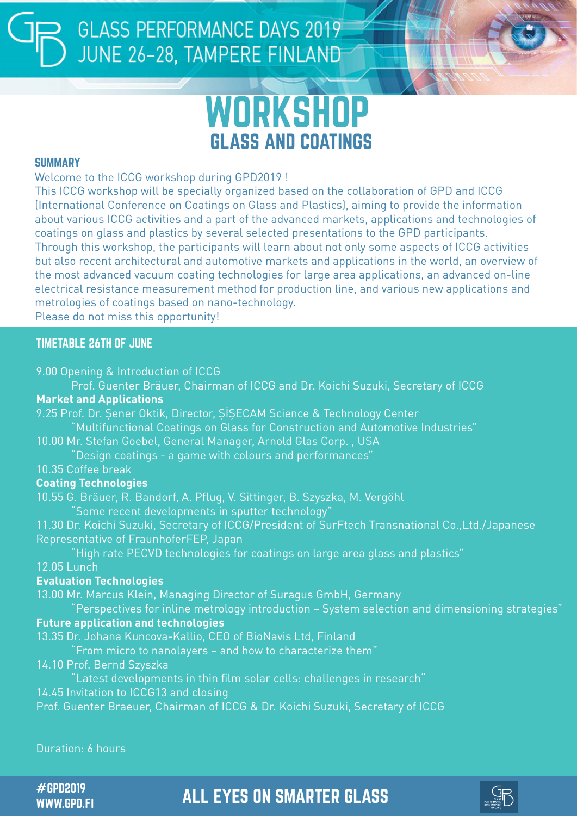# **GLASS PERFORMANCE DAYS 2019** JUNE 26-28, TAMPERE FINLAND



#### **SUMMARY**

Welcome to the ICCG workshop during GPD2019 !

This ICCG workshop will be specially organized based on the collaboration of GPD and ICCG (International Conference on Coatings on Glass and Plastics), aiming to provide the information about various ICCG activities and a part of the advanced markets, applications and technologies of coatings on glass and plastics by several selected presentations to the GPD participants. Through this workshop, the participants will learn about not only some aspects of ICCG activities but also recent architectural and automotive markets and applications in the world, an overview of the most advanced vacuum coating technologies for large area applications, an advanced on-line electrical resistance measurement method for production line, and various new applications and metrologies of coatings based on nano-technology. Please do not miss this opportunity!

#### TIMETABLE 26TH OF JUNE

9.00 Opening & Introduction of ICCG

Prof. Guenter Bräuer, Chairman of ICCG and Dr. Koichi Suzuki, Secretary of ICCG

#### **Market and Applications**

9.25 Prof. Dr. Şener Oktik, Director, ŞİŞECAM Science & Technology Center "Multifunctional Coatings on Glass for Construction and Automotive Industries"

10.00 Mr. Stefan Goebel, General Manager, Arnold Glas Corp. , USA

"Design coatings - a game with colours and performances"

10.35 Coffee break

#### **Coating Technologies**

10.55 G. Bräuer, R. Bandorf, A. Pflug, V. Sittinger, B. Szyszka, M. Vergöhl

"Some recent developments in sputter technology"

11.30 Dr. Koichi Suzuki, Secretary of ICCG/President of SurFtech Transnational Co.,Ltd./Japanese Representative of FraunhoferFEP, Japan

"High rate PECVD technologies for coatings on large area glass and plastics" 12.05 Lunch

#### **Evaluation Technologies**

13.00 Mr. Marcus Klein, Managing Director of Suragus GmbH, Germany

"Perspectives for inline metrology introduction – System selection and dimensioning strategies"

#### **Future application and technologies**

13.35 Dr. Johana Kuncova-Kallio, CEO of BioNavis Ltd, Finland

"From micro to nanolayers – and how to characterize them"

14.10 Prof. Bernd Szyszka

"Latest developments in thin film solar cells: challenges in research"

14.45 Invitation to ICCG13 and closing

Prof. Guenter Braeuer, Chairman of ICCG & Dr. Koichi Suzuki, Secretary of ICCG

Duration: 6 hours

WWW.GPD.FI

#GPD2019 ALL EYES ON SMARTER GLASS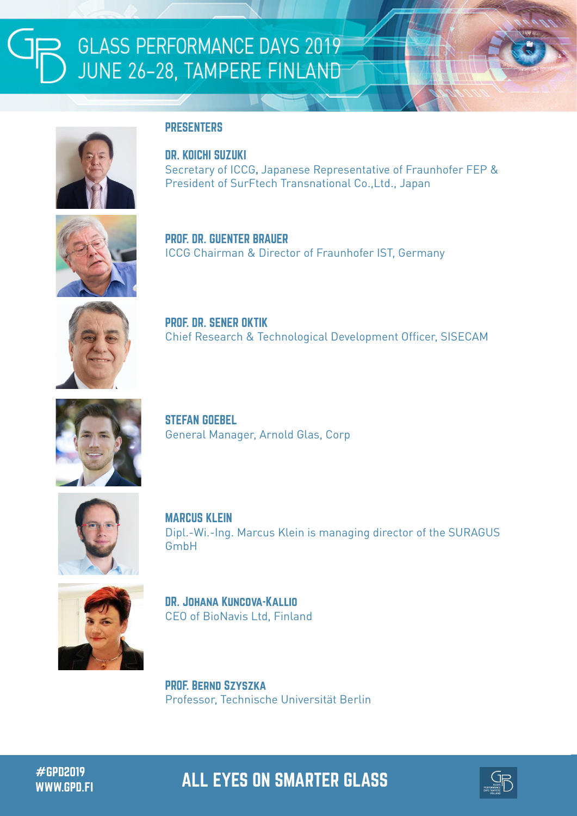

#### **PRESENTERS**

DR. KOICHI SUZUKI

Secretary of ICCG, Japanese Representative of Fraunhofer FEP & President of SurFtech Transnational Co.,Ltd., Japan



PROF. DR. GUENTER BRAUER ICCG Chairman & Director of Fraunhofer IST, Germany



PROF. DR. SENER OKTIK Chief Research & Technological Development Officer, SISECAM



STEFAN GOEBEL General Manager, Arnold Glas, Corp



MARCUS KLEIN Dipl.-Wi.-Ing. Marcus Klein is managing director of the SURAGUS GmbH



DR. Johana Kuncova-Kallio CEO of BioNavis Ltd, Finland

PROF. Bernd Szyszka Professor, Technische Universität Berlin

#GPD2019 ALL EYES ON SMARTER GLASS WWW.GPD.FI

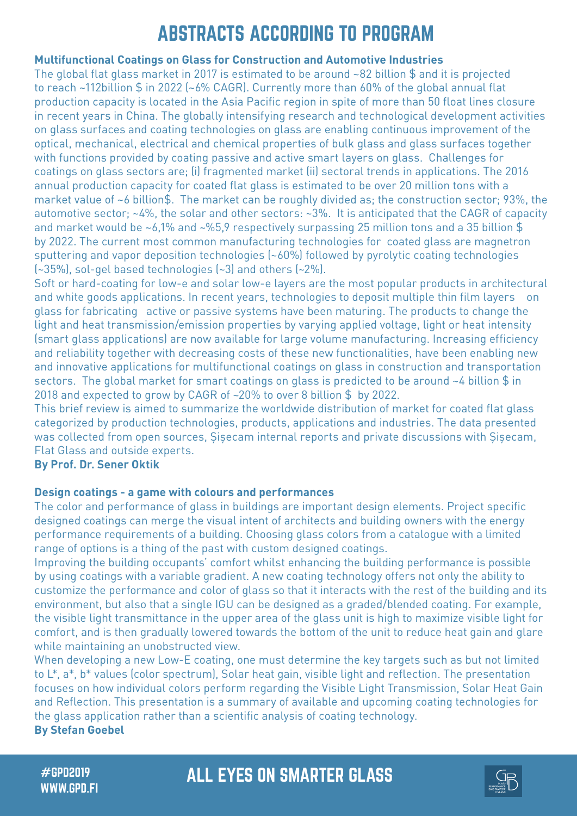## ABSTRACTS ACCORDING TO PROGRAM

#### **Multifunctional Coatings on Glass for Construction and Automotive Industries**

The global flat glass market in 2017 is estimated to be around ~82 billion \$ and it is projected to reach ~112billion \$ in 2022 (~6% CAGR). Currently more than 60% of the global annual flat production capacity is located in the Asia Pacific region in spite of more than 50 float lines closure in recent years in China. The globally intensifying research and technological development activities on glass surfaces and coating technologies on glass are enabling continuous improvement of the optical, mechanical, electrical and chemical properties of bulk glass and glass surfaces together with functions provided by coating passive and active smart layers on glass. Challenges for coatings on glass sectors are; (i) fragmented market (ii) sectoral trends in applications. The 2016 annual production capacity for coated flat glass is estimated to be over 20 million tons with a market value of ~6 billion\$. The market can be roughly divided as; the construction sector; 93%, the automotive sector; ~4%, the solar and other sectors: ~3%. It is anticipated that the CAGR of capacity and market would be ~6,1% and ~%5,9 respectively surpassing 25 million tons and a 35 billion \$ by 2022. The current most common manufacturing technologies for coated glass are magnetron sputtering and vapor deposition technologies (~60%) followed by pyrolytic coating technologies (~35%), sol-gel based technologies (~3) and others (~2%).

Soft or hard-coating for low-e and solar low-e layers are the most popular products in architectural and white goods applications. In recent years, technologies to deposit multiple thin film layers on glass for fabricating active or passive systems have been maturing. The products to change the light and heat transmission/emission properties by varying applied voltage, light or heat intensity (smart glass applications) are now available for large volume manufacturing. Increasing efficiency and reliability together with decreasing costs of these new functionalities, have been enabling new and innovative applications for multifunctional coatings on glass in construction and transportation sectors. The global market for smart coatings on glass is predicted to be around ~4 billion \$ in 2018 and expected to grow by CAGR of ~20% to over 8 billion \$ by 2022.

This brief review is aimed to summarize the worldwide distribution of market for coated flat glass categorized by production technologies, products, applications and industries. The data presented was collected from open sources, Sisecam internal reports and private discussions with Sisecam, Flat Glass and outside experts.

#### **By Prof. Dr. Sener Oktik**

#### **Design coatings - a game with colours and performances**

The color and performance of glass in buildings are important design elements. Project specific designed coatings can merge the visual intent of architects and building owners with the energy performance requirements of a building. Choosing glass colors from a catalogue with a limited range of options is a thing of the past with custom designed coatings.

Improving the building occupants' comfort whilst enhancing the building performance is possible by using coatings with a variable gradient. A new coating technology offers not only the ability to customize the performance and color of glass so that it interacts with the rest of the building and its environment, but also that a single IGU can be designed as a graded/blended coating. For example, the visible light transmittance in the upper area of the glass unit is high to maximize visible light for comfort, and is then gradually lowered towards the bottom of the unit to reduce heat gain and glare while maintaining an unobstructed view.

When developing a new Low-E coating, one must determine the key targets such as but not limited to L\*, a\*, b\* values (color spectrum), Solar heat gain, visible light and reflection. The presentation focuses on how individual colors perform regarding the Visible Light Transmission, Solar Heat Gain and Reflection. This presentation is a summary of available and upcoming coating technologies for the glass application rather than a scientific analysis of coating technology.

**By Stefan Goebel**

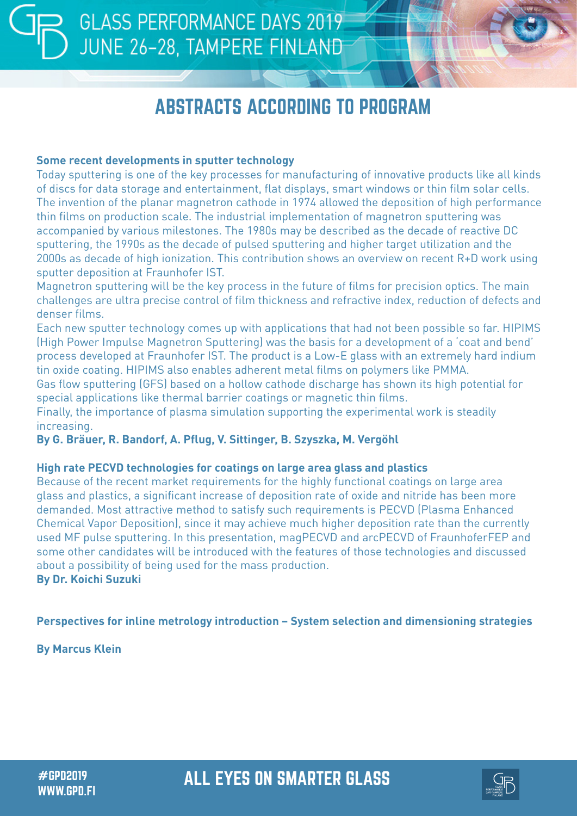## ABSTRACTS ACCORDING TO PROGRAM

#### **Some recent developments in sputter technology**

Today sputtering is one of the key processes for manufacturing of innovative products like all kinds of discs for data storage and entertainment, flat displays, smart windows or thin film solar cells. The invention of the planar magnetron cathode in 1974 allowed the deposition of high performance thin films on production scale. The industrial implementation of magnetron sputtering was accompanied by various milestones. The 1980s may be described as the decade of reactive DC sputtering, the 1990s as the decade of pulsed sputtering and higher target utilization and the 2000s as decade of high ionization. This contribution shows an overview on recent R+D work using sputter deposition at Fraunhofer IST.

Magnetron sputtering will be the key process in the future of films for precision optics. The main challenges are ultra precise control of film thickness and refractive index, reduction of defects and denser films.

Each new sputter technology comes up with applications that had not been possible so far. HIPIMS (High Power Impulse Magnetron Sputtering) was the basis for a development of a 'coat and bend' process developed at Fraunhofer IST. The product is a Low-E glass with an extremely hard indium tin oxide coating. HIPIMS also enables adherent metal films on polymers like PMMA.

Gas flow sputtering (GFS) based on a hollow cathode discharge has shown its high potential for special applications like thermal barrier coatings or magnetic thin films.

Finally, the importance of plasma simulation supporting the experimental work is steadily increasing.

#### **By G. Bräuer, R. Bandorf, A. Pflug, V. Sittinger, B. Szyszka, M. Vergöhl**

#### **High rate PECVD technologies for coatings on large area glass and plastics**

Because of the recent market requirements for the highly functional coatings on large area glass and plastics, a significant increase of deposition rate of oxide and nitride has been more demanded. Most attractive method to satisfy such requirements is PECVD (Plasma Enhanced Chemical Vapor Deposition), since it may achieve much higher deposition rate than the currently used MF pulse sputtering. In this presentation, magPECVD and arcPECVD of FraunhoferFEP and some other candidates will be introduced with the features of those technologies and discussed about a possibility of being used for the mass production. **By Dr. Koichi Suzuki**

#### **Perspectives for inline metrology introduction – System selection and dimensioning strategies**

**By Marcus Klein**

### #GPD2019 ALL EYES ON SMARTER GLASS